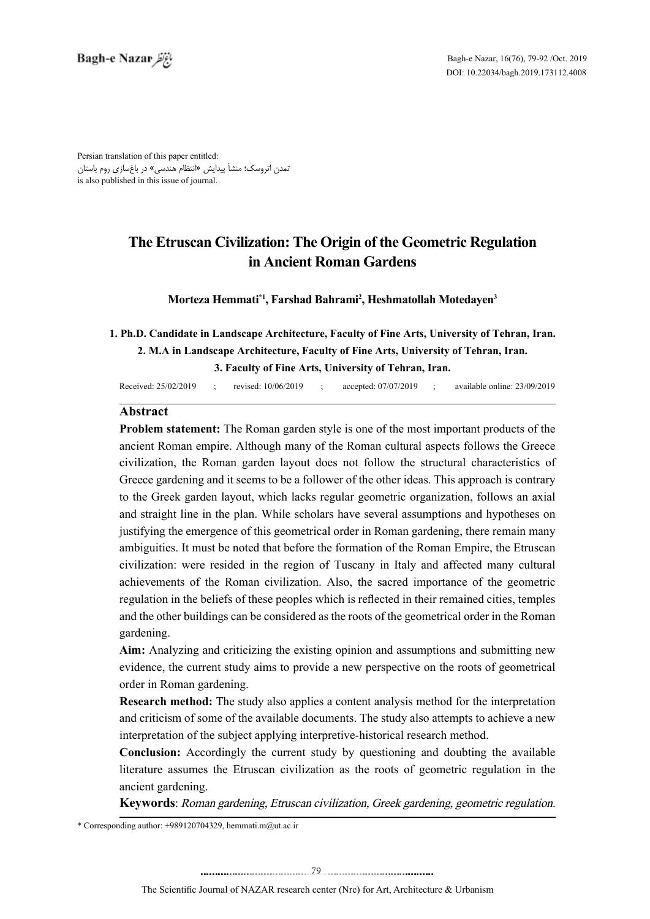Persian translation of this paper entitled: تمدن اتروسک؛ منشأ پیدایش «انتظام هندسی» در باغسازی روم باستان is also published in this issue of journal.

# **The Etruscan Civilization: The Origin of the Geometric Regulation in Ancient Roman Gardens**

### Morteza Hemmati\*<sup>1</sup>, Farshad Bahrami<sup>2</sup>, Heshmatollah Motedayen<sup>3</sup>

### 1. Ph.D. Candidate in Landscape Architecture, Faculty of Fine Arts, University of Tehran, Iran. 2. M.A in Landscape Architecture, Faculty of Fine Arts, University of Tehran, Iran. **3. Faculty of Fine Arts, University of Tehran, Iran.**

Received:  $25/02/2019$  ; revised:  $10/06/2019$  ; accepted:  $07/07/2019$  ; available online:  $23/09/2019$ 

### **Abstract**

**Problem statement:** The Roman garden style is one of the most important products of the ancient Roman empire. Although many of the Roman cultural aspects follows the Greece civilization, the Roman garden layout does not follow the structural characteristics of Greece gardening and it seems to be a follower of the other ideas. This approach is contrary to the Greek garden layout, which lacks regular geometric organization, follows an axial and straight line in the plan. While scholars have several assumptions and hypotheses on justifying the emergence of this geometrical order in Roman gardening, there remain many ambiguities. It must be noted that before the formation of the Roman Empire, the Etruscan civilization: were resided in the region of Tuscany in Italy and affected many cultural achievements of the Roman civilization. Also, the sacred importance of the geometric regulation in the beliefs of these peoples which is reflected in their remained cities, temples and the other buildings can be considered as the roots of the geometrical order in the Roman .gardening

Aim: Analyzing and criticizing the existing opinion and assumptions and submitting new evidence, the current study aims to provide a new perspective on the roots of geometrical order in Roman gardening.

**Research method:** The study also applies a content analysis method for the interpretation and criticism of some of the available documents. The study also attempts to achieve a new interpretation of the subject applying interpretive-historical research method.

Conclusion: Accordingly the current study by questioning and doubting the available literature assumes the Etruscan civilization as the roots of geometric regulation in the ancient gardening.

Keywords: Roman gardening, Etruscan civilization, Greek gardening, geometric regulation.

 $*$  Corresponding author: +989120704329, hemmati.m@ut.ac.ir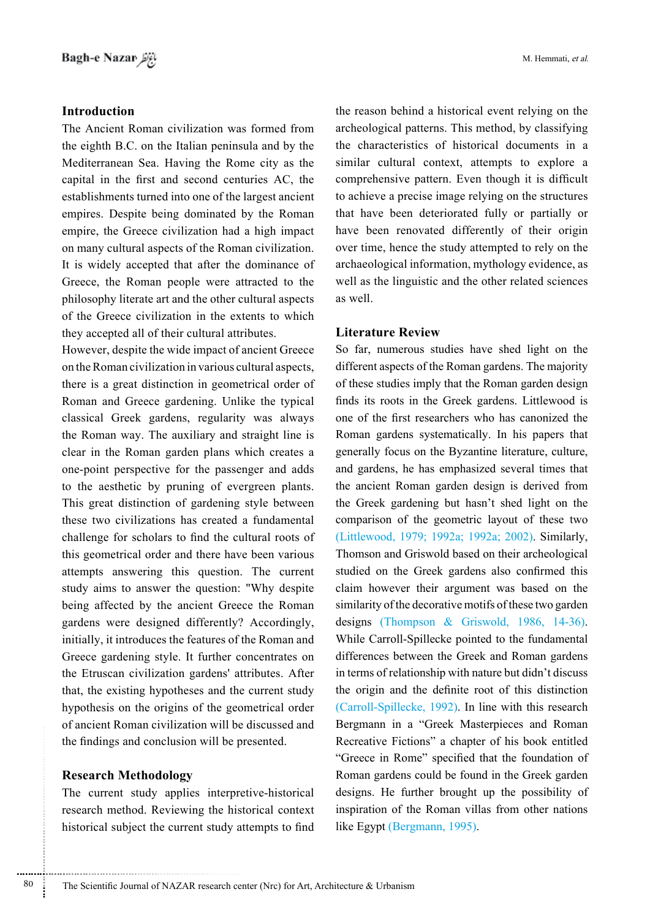### **Introduction**

The Ancient Roman civilization was formed from the eighth B.C. on the Italian peninsula and by the Mediterranean Sea. Having the Rome city as the capital in the first and second centuries AC, the establishments turned into one of the largest ancient empires. Despite being dominated by the Roman empire, the Greece civilization had a high impact on many cultural aspects of the Roman civilization. It is widely accepted that after the dominance of Greece, the Roman people were attracted to the philosophy literate art and the other cultural aspects of the Greece civilization in the extents to which they accepted all of their cultural attributes.

However, despite the wide impact of ancient Greece on the Roman civilization in various cultural aspects, there is a great distinction in geometrical order of Roman and Greece gardening. Unlike the typical classical Greek gardens, regularity was always the Roman way. The auxiliary and straight line is clear in the Roman garden plans which creates a one-point perspective for the passenger and adds to the aesthetic by pruning of evergreen plants. This great distinction of gardening style between these two civilizations has created a fundamental challenge for scholars to find the cultural roots of this geometrical order and there have been various attempts answering this question. The current study aims to answer the question: "Why despite being affected by the ancient Greece the Roman gardens were designed differently? Accordingly, initially, it introduces the features of the Roman and Greece gardening style. It further concentrates on the Etruscan civilization gardens' attributes. After that, the existing hypotheses and the current study hypothesis on the origins of the geometrical order of ancient Roman civilization will be discussed and the findings and conclusion will be presented.

### **Research Methodology**

The current study applies interpretive-historical research method. Reviewing the historical context historical subject the current study attempts to find the reason behind a historical event relying on the archeological patterns. This method, by classifying the characteristics of historical documents in a similar cultural context, attempts to explore a comprehensive pattern. Even though it is difficult to achieve a precise image relying on the structures that have been deteriorated fully or partially or have been renovated differently of their origin over time, hence the study attempted to rely on the archaeological information, mythology evidence, as well as the linguistic and the other related sciences as well.

### **Literature Review**

So far, numerous studies have shed light on the different aspects of the Roman gardens. The majority of these studies imply that the Roman garden design finds its roots in the Greek gardens. Littlewood is one of the first researchers who has canonized the Roman gardens systematically. In his papers that generally focus on the Byzantine literature, culture, and gardens, he has emphasized several times that the ancient Roman garden design is derived from the Greek gardening but hasn't shed light on the comparison of the geometric layout of these two (Littlewood, 1979; 1992a; 1992a; 2002). Similarly, Thomson and Griswold based on their archeological studied on the Greek gardens also confirmed this claim however their argument was based on the similarity of the decorative motifs of these two garden designs (Thompson & Griswold, 1986, 14-36). While Carroll-Spillecke pointed to the fundamental differences between the Greek and Roman gardens in terms of relationship with nature but didn't discuss the origin and the definite root of this distinction (Carroll-Spillecke, 1992). In line with this research Bergmann in a "Greek Masterpieces and Roman Recreative Fictions" a chapter of his book entitled "Greece in Rome" specified that the foundation of Roman gardens could be found in the Greek garden designs. He further brought up the possibility of inspiration of the Roman villas from other nations like Egypt (Bergmann, 1995).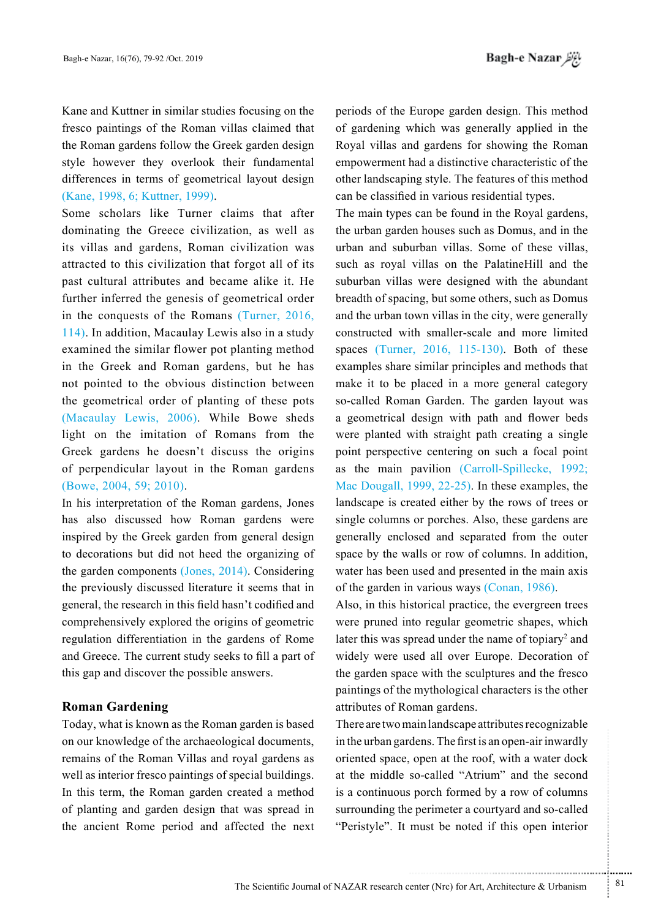Kane and Kuttner in similar studies focusing on the fresco paintings of the Roman villas claimed that the Roman gardens follow the Greek garden design style however they overlook their fundamental differences in terms of geometrical layout design (Kane, 1998, 6; Kuttner, 1999).

Some scholars like Turner claims that after dominating the Greece civilization, as well as its villas and gardens, Roman civilization was attracted to this civilization that forgot all of its past cultural attributes and became alike it. He further inferred the genesis of geometrical order in the conquests of the Romans (Turner,  $2016$ ,  $114$ ). In addition, Macaulay Lewis also in a study examined the similar flower pot planting method in the Greek and Roman gardens, but he has not pointed to the obvious distinction between the geometrical order of planting of these pots (Macaulay Lewis,  $2006$ ). While Bowe sheds light on the imitation of Romans from the Greek gardens he doesn't discuss the origins of perpendicular layout in the Roman gardens  $(Bowe, 2004, 59; 2010)$ .

In his interpretation of the Roman gardens, Jones has also discussed how Roman gardens were inspired by the Greek garden from general design to decorations but did not heed the organizing of the garden components  $(Jones, 2014)$ . Considering the previously discussed literature it seems that in general, the research in this field hasn't codified and comprehensively explored the origins of geometric regulation differentiation in the gardens of Rome and Greece. The current study seeks to fill a part of this gap and discover the possible answers.

### **Gardening Roman**

Today, what is known as the Roman garden is based on our knowledge of the archaeological documents, remains of the Roman Villas and royal gardens as well as interior fresco paintings of special buildings. In this term, the Roman garden created a method of planting and garden design that was spread in the ancient Rome period and affected the next periods of the Europe garden design. This method of gardening which was generally applied in the Royal villas and gardens for showing the Roman empowerment had a distinctive characteristic of the other landscaping style. The features of this method can be classified in various residential types.

The main types can be found in the Royal gardens, the urban garden houses such as Domus, and in the urban and suburban villas. Some of these villas, such as royal villas on the PalatineHill and the suburban villas were designed with the abundant breadth of spacing, but some others, such as Domus and the urban town villas in the city, were generally constructed with smaller-scale and more limited spaces (Turner,  $2016$ ,  $115-130$ ). Both of these examples share similar principles and methods that make it to be placed in a more general category so-called Roman Garden. The garden layout was a geometrical design with path and flower beds were planted with straight path creating a single point perspective centering on such a focal point as the main pavilion (Carroll-Spillecke, 1992; Mac Dougall,  $1999, 22-25$ ). In these examples, the landscape is created either by the rows of trees or single columns or porches. Also, these gardens are generally enclosed and separated from the outer space by the walls or row of columns. In addition, water has been used and presented in the main axis of the garden in various ways (Conan, 1986).

Also, in this historical practice, the evergreen trees were pruned into regular geometric shapes, which later this was spread under the name of topiary<sup>2</sup> and widely were used all over Europe. Decoration of the garden space with the sculptures and the fresco paintings of the mythological characters is the other attributes of Roman gardens.

There are two main landscape attributes recognizable in the urban gardens. The first is an open-air inwardly oriented space, open at the roof, with a water dock at the middle so-called "Atrium" and the second is a continuous porch formed by a row of columns surrounding the perimeter a courtyard and so-called "Peristyle". It must be noted if this open interior

.......... ....... ........ ........... ...... ....... ........ .......... ...........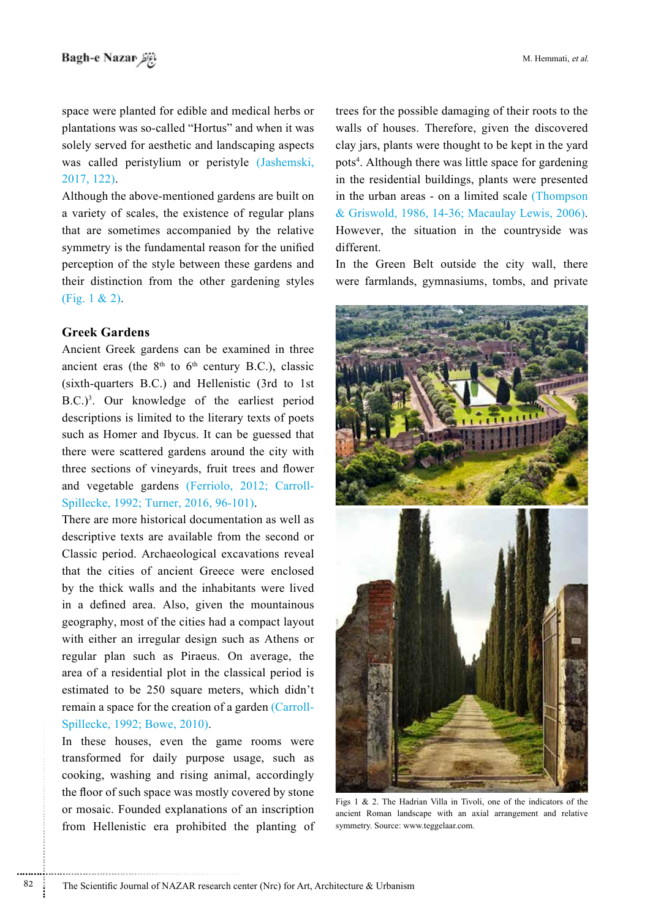space were planted for edible and medical herbs or plantations was so-called "Hortus" and when it was solely served for aesthetic and landscaping aspects was called peristylium or peristyle (Jashemski,  $2017, 122$ ).

Although the above-mentioned gardens are built on a variety of scales, the existence of regular plans that are sometimes accompanied by the relative symmetry is the fundamental reason for the unified perception of the style between these gardens and their distinction from the other gardening styles  $(Fig. 1 & 2)$ .

## **Gardens Greek**

Ancient Greek gardens can be examined in three ancient eras (the  $8<sup>th</sup>$  to  $6<sup>th</sup>$  century B.C.), classic  $(sixth-quarters B.C.)$  and Hellenistic  $(3rd to 1st)$  $(B.C.)<sup>3</sup>$ . Our knowledge of the earliest period descriptions is limited to the literary texts of poets such as Homer and Ibycus. It can be guessed that there were scattered gardens around the city with three sections of vineyards, fruit trees and flower and vegetable gardens (Ferriolo, 2012; Carroll-<br>Spillecke, 1992; Turner, 2016, 96-101).

There are more historical documentation as well as descriptive texts are available from the second or Classic period. Archaeological excavations reveal that the cities of ancient Greece were enclosed by the thick walls and the inhabitants were lived in a defined area. Also, given the mountainous geography, most of the cities had a compact layout with either an irregular design such as Athens or regular plan such as Piraeus. On average, the area of a residential plot in the classical period is estimated to be 250 square meters, which didn't remain a space for the creation of a garden (Carroll-<br>Spillecke, 1992; Bowe, 2010).

In these houses, even the game rooms were transformed for daily purpose usage, such as cooking, washing and rising animal, accordingly the floor of such space was mostly covered by stone or mosaic. Founded explanations of an inscription from Hellenistic era prohibited the planting of trees for the possible damaging of their roots to the walls of houses. Therefore, given the discovered clay jars, plants were thought to be kept in the yard pots<sup>4</sup>. Although there was little space for gardening in the residential buildings, plants were presented in the urban areas - on a limited scale (Thompson & Griswold, 1986, 14-36; Macaulay Lewis, 2006). However, the situation in the countryside was .different

In the Green Belt outside the city wall, there were farmlands, gymnasiums, tombs, and private



Figs  $1 \& 2$ . The Hadrian Villa in Tivoli, one of the indicators of the ancient Roman landscape with an axial arrangement and relative symmetry. Source: www.teggelaar.com.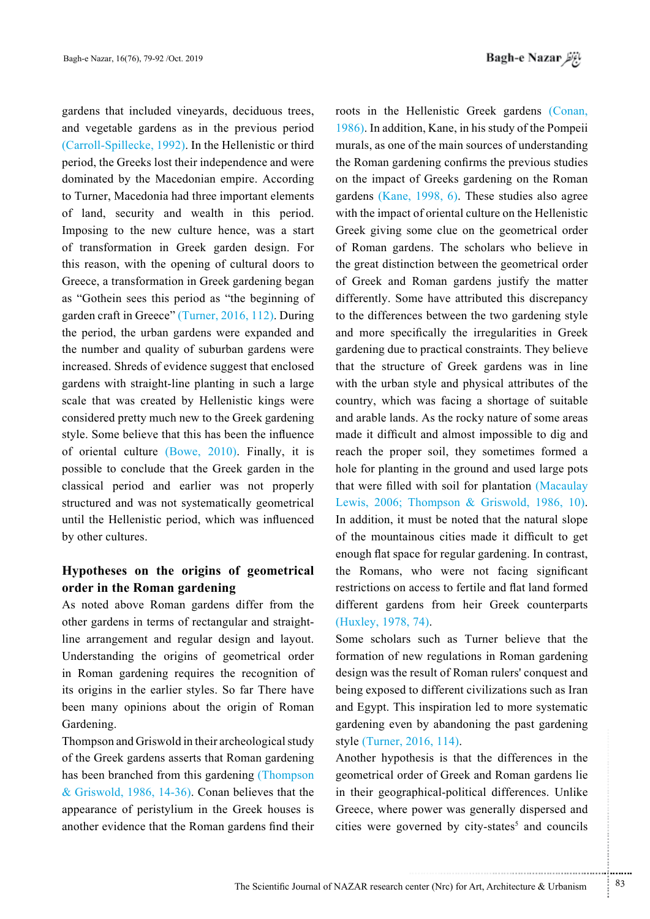gardens that included vineyards, deciduous trees, and vegetable gardens as in the previous period  $(Carroll-Spillecke, 1992)$ . In the Hellenistic or third period, the Greeks lost their independence and were dominated by the Macedonian empire. According to Turner, Macedonia had three important elements of land, security and wealth in this period. Imposing to the new culture hence, was a start of transformation in Greek garden design. For this reason, with the opening of cultural doors to Greece, a transformation in Greek gardening began as "Gothein sees this period as "the beginning of garden craft in Greece" (Turner,  $2016$ ,  $112$ ). During the period, the urban gardens were expanded and the number and quality of suburban gardens were increased. Shreds of evidence suggest that enclosed gardens with straight-line planting in such a large scale that was created by Hellenistic kings were considered pretty much new to the Greek gardening style. Some believe that this has been the influence of oriental culture (Bowe,  $2010$ ). Finally, it is possible to conclude that the Greek garden in the classical period and earlier was not properly structured and was not systematically geometrical until the Hellenistic period, which was influenced by other cultures.

## **Hypotheses** on the origins of geometrical **gardening** order in the Roman gardening

As noted above Roman gardens differ from the line arrangement and regular design and layout. other gardens in terms of rectangular and straight-Understanding the origins of geometrical order in Roman gardening requires the recognition of its origins in the earlier styles. So far There have been many opinions about the origin of Roman Gardening.

Thompson and Griswold in their archeological study of the Greek gardens asserts that Roman gardening has been branched from this gardening (Thompson & Griswold, 1986, 14-36). Conan believes that the appearance of peristylium in the Greek houses is another evidence that the Roman gardens find their roots in the Hellenistic Greek gardens (Conan, 1986). In addition, Kane, in his study of the Pompeii murals, as one of the main sources of understanding the Roman gardening confirms the previous studies on the impact of Greeks gardening on the Roman gardens (Kane, 1998,  $6$ ). These studies also agree with the impact of oriental culture on the Hellenistic Greek giving some clue on the geometrical order of Roman gardens. The scholars who believe in the great distinction between the geometrical order of Greek and Roman gardens justify the matter differently. Some have attributed this discrepancy to the differences between the two gardening style and more specifically the irregularities in Greek gardening due to practical constraints. They believe that the structure of Greek gardens was in line with the urban style and physical attributes of the country, which was facing a shortage of suitable and arable lands. As the rocky nature of some areas made it difficult and almost impossible to dig and reach the proper soil, they sometimes formed a hole for planting in the ground and used large pots that were filled with soil for plantation (Macaulay Lewis, 2006; Thompson & Griswold, 1986, 10). In addition, it must be noted that the natural slope of the mountainous cities made it difficult to get enough flat space for regular gardening. In contrast, the Romans, who were not facing significant restrictions on access to fertile and flat land formed different gardens from heir Greek counterparts (Huxley, 1978, 74).

Some scholars such as Turner believe that the formation of new regulations in Roman gardening design was the result of Roman rulers' conquest and being exposed to different civilizations such as Iran and Egypt. This inspiration led to more systematic gardening even by abandoning the past gardening style (Turner, 2016, 114).

Another hypothesis is that the differences in the geometrical order of Greek and Roman gardens lie in their geographical-political differences. Unlike Greece, where power was generally dispersed and cities were governed by city-states<sup>5</sup> and councils

.......... ....... ........ ........... ...... ....... ........ .......... ...........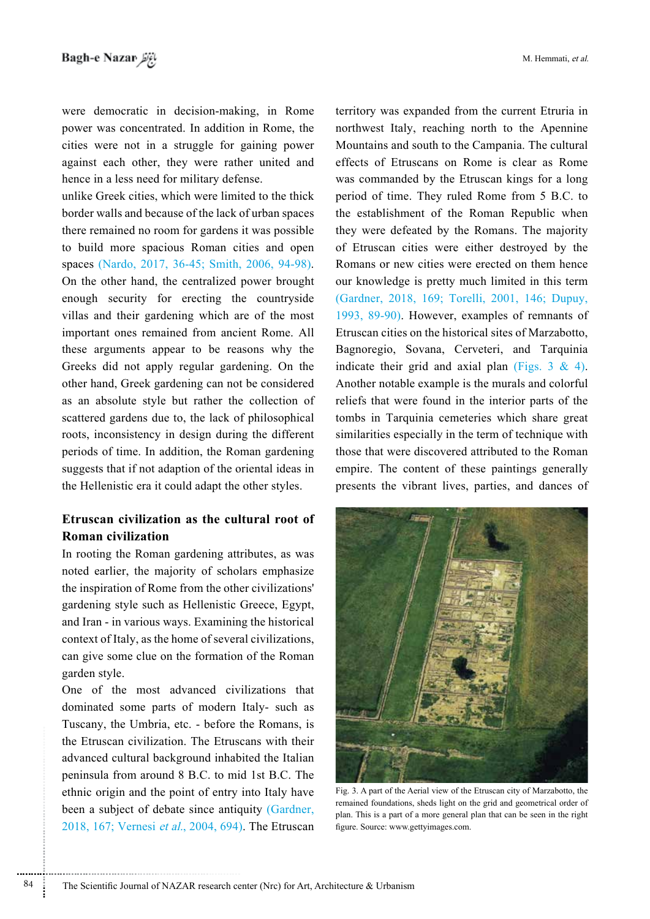were democratic in decision-making, in Rome power was concentrated. In addition in Rome, the cities were not in a struggle for gaining power against each other, they were rather united and hence in a less need for military defense.

unlike Greek cities, which were limited to the thick border walls and because of the lack of urban spaces there remained no room for gardens it was possible to build more spacious Roman cities and open spaces (Nardo, 2017, 36-45; Smith, 2006, 94-98). On the other hand, the centralized power brought enough security for erecting the countryside villas and their gardening which are of the most important ones remained from ancient Rome. All these arguments appear to be reasons why the Greeks did not apply regular gardening. On the other hand, Greek gardening can not be considered as an absolute style but rather the collection of scattered gardens due to, the lack of philosophical roots, inconsistency in design during the different periods of time. In addition, the Roman gardening suggests that if not adaption of the oriental ideas in the Hellenistic era it could adapt the other styles.

## **Etruscan civilization as the cultural root of civilization Roman**

In rooting the Roman gardening attributes, as was noted earlier, the majority of scholars emphasize the inspiration of Rome from the other civilizations' gardening style such as Hellenistic Greece, Egypt, and Iran - in various ways. Examining the historical context of Italy, as the home of several civilizations, can give some clue on the formation of the Roman garden style.

One of the most advanced civilizations that dominated some parts of modern Italy- such as Tuscany, the Umbria, etc. - before the Romans, is the Etruscan civilization. The Etruscans with their advanced cultural background inhabited the Italian peninsula from around 8 B.C. to mid 1st B.C. The ethnic origin and the point of entry into Italy have been a subject of debate since antiquity (Gardner, 2018, 167; Vernesi et al., 2004, 694). The Etruscan territory was expanded from the current Etruria in northwest Italy, reaching north to the Apennine Mountains and south to the Campania. The cultural effects of Etruscans on Rome is clear as Rome was commanded by the Etruscan kings for a long period of time. They ruled Rome from 5 B.C. to the establishment of the Roman Republic when they were defeated by the Romans. The majority of Etruscan cities were either destroyed by the Romans or new cities were erected on them hence our knowledge is pretty much limited in this term (Gardner, 2018, 169; Torelli, 2001, 146; Dupuy, 1993, 89-90). However, examples of remnants of Etruscan cities on the historical sites of Marzabotto, Bagnoregio, Sovana, Cerveteri, and Tarquinia indicate their grid and axial plan (Figs.  $3 \& 4$ ). Another notable example is the murals and colorful reliefs that were found in the interior parts of the tombs in Tarquinia cemeteries which share great similarities especially in the term of technique with those that were discovered attributed to the Roman empire. The content of these paintings generally presents the vibrant lives, parties, and dances of



Fig. 3. A part of the Aerial view of the Etruscan city of Marzabotto, the remained foundations, sheds light on the grid and geometrical order of plan. This is a part of a more general plan that can be seen in the right figure. Source: www.gettyimages.com.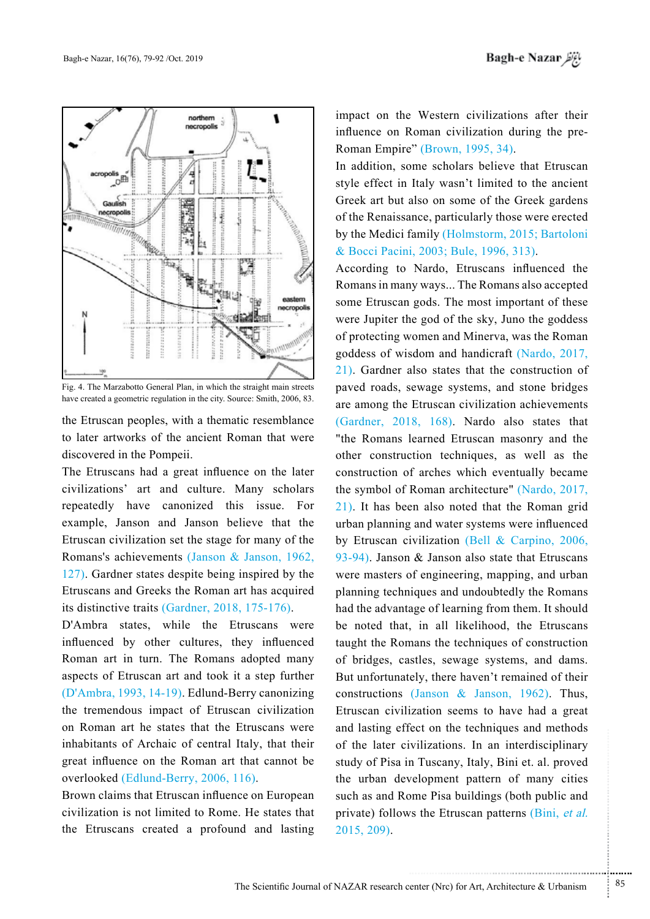

Fig. 4. The Marzabotto General Plan, in which the straight main streets have created a geometric regulation in the city. Source: Smith, 2006, 83.

the Etruscan peoples, with a thematic resemblance to later artworks of the ancient Roman that were discovered in the Pompeii.

The Etruscans had a great influence on the later civilizations' art and culture. Many scholars repeatedly have canonized this issue. For example, Janson and Janson believe that the Etruscan civilization set the stage for many of the Romans's achievements (Janson & Janson, 1962,  $127$ . Gardner states despite being inspired by the Etruscans and Greeks the Roman art has acquired its distinctive traits  $(Gardner, 2018, 175-176)$ .

D'Ambra states, while the Etruscans were influenced by other cultures, they influenced Roman art in turn. The Romans adopted many aspects of Etruscan art and took it a step further  $(D'Ambra, 1993, 14-19)$ . Edlund-Berry canonizing the tremendous impact of Etruscan civilization on Roman art he states that the Etruscans were inhabitants of Archaic of central Italy, that their great influence on the Roman art that cannot be overlooked (Edlund-Berry, 2006, 116).

Brown claims that Etruscan influence on European civilization is not limited to Rome. He states that the Etruscans created a profound and lasting impact on the Western civilizations after their influence on Roman civilization during the pre-<br>Roman Empire" (Brown, 1995, 34).

In addition, some scholars believe that Etruscan style effect in Italy wasn't limited to the ancient Greek art but also on some of the Greek gardens of the Renaissance, particularly those were erected by the Medici family (Holmstorm, 2015; Bartoloni & Bocci Pacini, 2003; Bule, 1996, 313).

According to Nardo, Etruscans influenced the Romans in many ways ... The Romans also accepted some Etruscan gods. The most important of these were Jupiter the god of the sky, Juno the goddess of protecting women and Minerva, was the Roman goddess of wisdom and handicraft (Nardo, 2017,  $\langle 21 \rangle$ . Gardner also states that the construction of paved roads, sewage systems, and stone bridges are among the Etruscan civilization achievements (Gardner, 2018, 168). Nardo also states that "the Romans learned Etruscan masonry and the other construction techniques, as well as the construction of arches which eventually became the symbol of Roman architecture" (Nardo, 2017,  $21$ ). It has been also noted that the Roman grid urban planning and water systems were influenced by Etruscan civilization (Bell  $&$  Carpino, 2006,  $93-94$ ). Janson & Janson also state that Etruscans were masters of engineering, mapping, and urban planning techniques and undoubtedly the Romans had the advantage of learning from them. It should be noted that, in all likelihood, the Etruscans taught the Romans the techniques of construction of bridges, castles, sewage systems, and dams. But unfortunately, there haven't remained of their constructions (Janson & Janson, 1962). Thus, Etruscan civilization seems to have had a great and lasting effect on the techniques and methods of the later civilizations. In an interdisciplinary study of Pisa in Tuscany, Italy, Bini et. al. proved the urban development pattern of many cities such as and Rome Pisa buildings (both public and private) follows the Etruscan patterns (Bini, et al.  $2015, 209$ .

...........................................................

.......... ....... ........ ........... ...... ....... ........ .......... ...........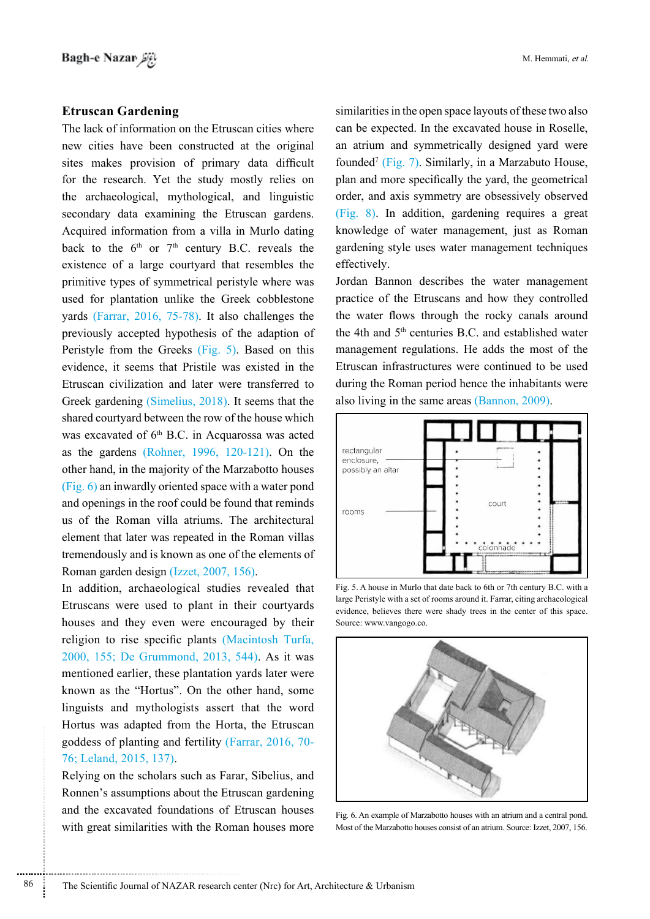### **Gardening Etruscan**

The lack of information on the Etruscan cities where new cities have been constructed at the original sites makes provision of primary data difficult for the research. Yet the study mostly relies on the archaeological, mythological, and linguistic secondary data examining the Etruscan gardens. Acquired information from a villa in Murlo dating back to the  $6<sup>th</sup>$  or  $7<sup>th</sup>$  century B.C. reveals the existence of a large courtyard that resembles the primitive types of symmetrical peristyle where was used for plantation unlike the Greek cobblestone yards (Farrar,  $2016$ ,  $75-78$ ). It also challenges the previously accepted hypothesis of the adaption of Peristyle from the Greeks (Fig. 5). Based on this evidence, it seems that Pristile was existed in the Etruscan civilization and later were transferred to Greek gardening (Simelius, 2018). It seems that the shared courtyard between the row of the house which was excavated of 6<sup>th</sup> B.C. in Acquarossa was acted as the gardens  $(Rohner, 1996, 120-121)$ . On the other hand, in the majority of the Marzabotto houses  $(Fig. 6)$  an inwardly oriented space with a water pond and openings in the roof could be found that reminds us of the Roman villa atriums. The architectural element that later was repeated in the Roman villas tremendously and is known as one of the elements of Roman garden design (Izzet, 2007, 156).

In addition, archaeological studies revealed that Etruscans were used to plant in their courtyards houses and they even were encouraged by their religion to rise specific plants (Macintosh Turfa, 2000, 155; De Grummond, 2013, 544). As it was mentioned earlier, these plantation yards later were known as the "Hortus". On the other hand, some linguists and mythologists assert that the word Hortus was adapted from the Horta, the Etruscan goddess of planting and fertility (Farrar,  $2016$ ,  $70$ -76; Leland, 2015, 137).

Relying on the scholars such as Farar, Sibelius, and Ronnen's assumptions about the Etruscan gardening and the excavated foundations of Etruscan houses with great similarities with the Roman houses more

similarities in the open space layouts of these two also can be expected. In the excavated house in Roselle. an atrium and symmetrically designed yard were founded<sup>7</sup> (Fig. 7). Similarly, in a Marzabuto House, plan and more specifically the yard, the geometrical order, and axis symmetry are obsessively observed  $(Fig. 8)$ . In addition, gardening requires a great knowledge of water management, just as Roman gardening style uses water management techniques effectively.

Jordan Bannon describes the water management practice of the Etruscans and how they controlled the water flows through the rocky canals around the 4th and 5<sup>th</sup> centuries B.C. and established water management regulations. He adds the most of the Etruscan infrastructures were continued to be used during the Roman period hence the inhabitants were also living in the same areas  $(Bannon, 2009)$ .



Fig. 5. A house in Murlo that date back to 6th or 7th century B.C. with a large Peristyle with a set of rooms around it. Farrar, citing archaeological evidence, believes there were shady trees in the center of this space. Source: www.vangogo.co.



Fig. 6. An example of Marzabotto houses with an atrium and a central pond. Most of the Marzabotto houses consist of an atrium. Source: Izzet, 2007, 156.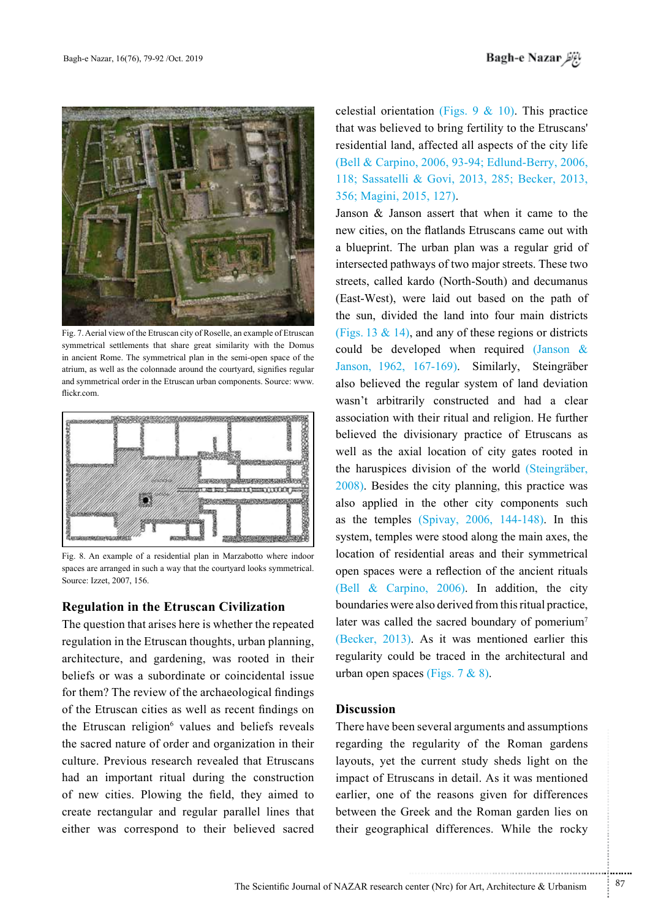

Fig. 7. Aerial view of the Etruscan city of Roselle, an example of Etruscan symmetrical settlements that share great similarity with the Domus in ancient Rome. The symmetrical plan in the semi-open space of the atrium, as well as the colonnade around the courtyard, signifies regular and symmetrical order in the Etruscan urban components. Source: www. flickr com.





#### **Regulation in the Etruscan Civilization**

The question that arises here is whether the repeated regulation in the Etruscan thoughts, urban planning, architecture, and gardening, was rooted in their beliefs or was a subordinate or coincidental issue for them? The review of the archaeological findings of the Etruscan cities as well as recent findings on the Etruscan religion<sup>6</sup> values and beliefs reveals the sacred nature of order and organization in their culture. Previous research revealed that Etruscans had an important ritual during the construction of new cities. Plowing the field, they aimed to create rectangular and regular parallel lines that either was correspond to their believed sacred celestial orientation (Figs.  $9 & 10$ ). This practice that was believed to bring fertility to the Etruscans' residential land, affected all aspects of the city life (Bell & Carpino, 2006, 93-94; Edlund-Berry, 2006, 118; Sassatelli & Govi, 2013, 285; Becker, 2013, 356; Magini, 2015, 127).

Janson  $\&$  Janson assert that when it came to the new cities, on the flatlands Etruscans came out with a blueprint. The urban plan was a regular grid of intersected pathways of two major streets. These two streets, called kardo (North-South) and decumanus (East-West), were laid out based on the path of the sun, divided the land into four main districts (Figs. 13  $\&$  14), and any of these regions or districts could be developed when required  $(Janson \&$ Janson, 1962, 167-169). Similarly, Steingräber also believed the regular system of land deviation wasn't arbitrarily constructed and had a clear association with their ritual and religion. He further believed the divisionary practice of Etruscans as well as the axial location of city gates rooted in the haruspices division of the world (Steingräber,  $2008$ ). Besides the city planning, this practice was also applied in the other city components such as the temples  $(Spivay, 2006, 144-148)$ . In this system, temples were stood along the main axes, the location of residential areas and their symmetrical open spaces were a reflection of the ancient rituals (Bell & Carpino,  $2006$ ). In addition, the city boundaries were also derived from this ritual practice, later was called the sacred boundary of pomerium<sup>7</sup>  $(Becker, 2013)$ . As it was mentioned earlier this regularity could be traced in the architectural and urban open spaces (Figs.  $7 & 8$ ).

### **Discussion**

There have been several arguments and assumptions regarding the regularity of the Roman gardens layouts, yet the current study sheds light on the impact of Etruscans in detail. As it was mentioned earlier, one of the reasons given for differences between the Greek and the Roman garden lies on their geographical differences. While the rocky

.......... ....... ........ ........... ...... ....... ........ .......... ...........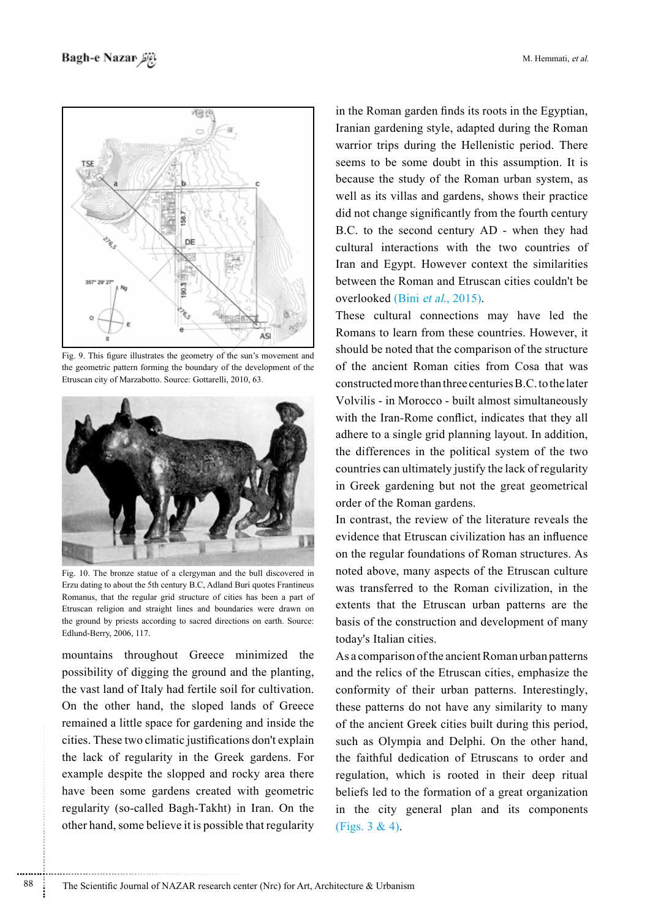

Fig. 9. This figure illustrates the geometry of the sun's movement and the geometric pattern forming the boundary of the development of the Etruscan city of Marzabotto. Source: Gottarelli. 2010. 63.



Fig. 10. The bronze statue of a clergyman and the bull discovered in Erzu dating to about the 5th century B.C. Adland Buri quotes Frantineus Romanus, that the regular grid structure of cities has been a part of Etruscan religion and straight lines and boundaries were drawn on the ground by priests according to sacred directions on earth. Source: Edlund-Berry, 2006, 117.

mountains throughout Greece minimized the possibility of digging the ground and the planting, the vast land of Italy had fertile soil for cultivation. On the other hand, the sloped lands of Greece remained a little space for gardening and inside the cities. These two climatic justifications don't explain the lack of regularity in the Greek gardens. For example despite the slopped and rocky area there have been some gardens created with geometric regularity (so-called Bagh-Takht) in Iran. On the other hand, some believe it is possible that regularity

............................................................

in the Roman garden finds its roots in the Egyptian, Iranian gardening style, adapted during the Roman warrior trips during the Hellenistic period. There seems to be some doubt in this assumption. It is because the study of the Roman urban system, as well as its villas and gardens, shows their practice did not change significantly from the fourth century B.C. to the second century AD - when they had cultural interactions with the two countries of Iran and Egypt. However context the similarities between the Roman and Etruscan cities couldn't be overlooked (Bini et al., 2015).

These cultural connections may have led the Romans to learn from these countries. However, it should be noted that the comparison of the structure of the ancient Roman cities from Cosa that was constructed more than three centuries  $B.C.$  to the later Volvilis - in Morocco - built almost simultaneously with the Iran-Rome conflict, indicates that they all adhere to a single grid planning layout. In addition, the differences in the political system of the two countries can ultimately justify the lack of regularity in Greek gardening but not the great geometrical order of the Roman gardens.

In contrast, the review of the literature reveals the evidence that Etruscan civilization has an influence on the regular foundations of Roman structures. As noted above, many aspects of the Etruscan culture was transferred to the Roman civilization, in the extents that the Etruscan urban patterns are the basis of the construction and development of many today's Italian cities.

As a comparison of the ancient Roman urban patterns and the relics of the Etruscan cities, emphasize the conformity of their urban patterns. Interestingly, these patterns do not have any similarity to many of the ancient Greek cities built during this period, such as Olympia and Delphi. On the other hand, the faithful dedication of Etruscans to order and regulation, which is rooted in their deep ritual beliefs led to the formation of a great organization in the city general plan and its components (Figs.  $3 & 4$ ).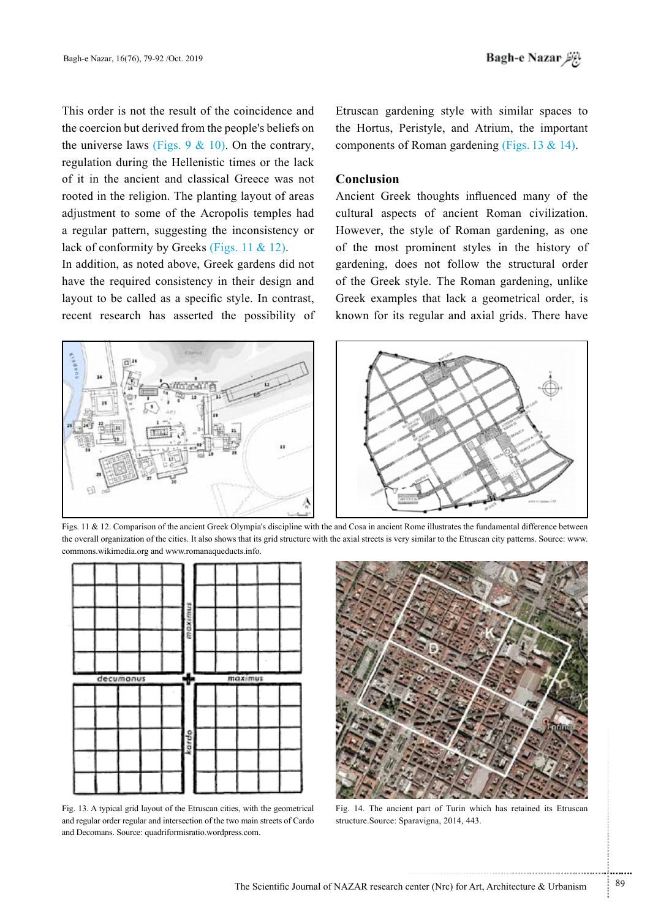This order is not the result of the coincidence and the coercion but derived from the people's beliefs on the universe laws (Figs. 9  $& 10$ ). On the contrary, regulation during the Hellenistic times or the lack of it in the ancient and classical Greece was not rooted in the religion. The planting layout of areas adjustment to some of the Acropolis temples had a regular pattern, suggesting the inconsistency or lack of conformity by Greeks (Figs. 11 & 12). In addition, as noted above, Greek gardens did not

have the required consistency in their design and layout to be called as a specific style. In contrast, recent research has asserted the possibility of Etruscan gardening style with similar spaces to the Hortus. Peristyle, and Atrium, the important components of Roman gardening (Figs. 13  $&$  14).

### Conclusion

Ancient Greek thoughts influenced many of the cultural aspects of ancient Roman civilization. However, the style of Roman gardening, as one of the most prominent styles in the history of gardening, does not follow the structural order of the Greek style. The Roman gardening, unlike Greek examples that lack a geometrical order, is known for its regular and axial grids. There have



Figs. 11 & 12. Comparison of the ancient Greek Olympia's discipline with the and Cosa in ancient Rome illustrates the fundamental difference between the overall organization of the cities. It also shows that its grid structure with the axial streets is very similar to the Etruscan city patterns. Source: www. commons.wikimedia.org and www.romanaqueducts.info.



Fig. 13. A typical grid layout of the Etruscan cities, with the geometrical and regular order regular and intersection of the two main streets of Cardo and Decomans. Source: quadriformisratio.wordpress.com.



Fig. 14. The ancient part of Turin which has retained its Etruscan structure.Source: Sparavigna, 2014, 443.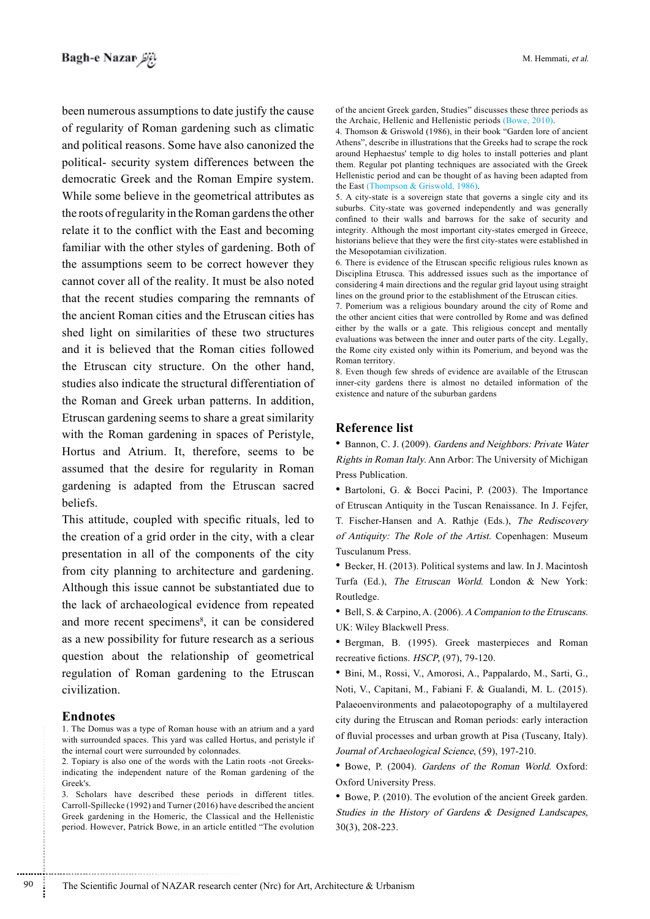been numerous assumptions to date justify the cause of regularity of Roman gardening such as climatic and political reasons. Some have also canonized the political- security system differences between the democratic Greek and the Roman Empire system. While some believe in the geometrical attributes as the roots of regularity in the Roman gardens the other relate it to the conflict with the East and becoming familiar with the other styles of gardening. Both of the assumptions seem to be correct however they cannot cover all of the reality. It must be also noted that the recent studies comparing the remnants of the ancient Roman cities and the Etruscan cities has shed light on similarities of these two structures and it is believed that the Roman cities followed the Etruscan city structure. On the other hand, studies also indicate the structural differentiation of the Roman and Greek urban patterns. In addition, Etruscan gardening seems to share a great similarity with the Roman gardening in spaces of Peristyle, Hortus and Atrium. It, therefore, seems to be assumed that the desire for regularity in Roman gardening is adapted from the Etruscan sacred .beliefs

This attitude, coupled with specific rituals, led to the creation of a grid order in the city, with a clear presentation in all of the components of the city from city planning to architecture and gardening. Although this issue cannot be substantiated due to the lack of archaeological evidence from repeated and more recent specimens<sup>8</sup>, it can be considered as a new possibility for future research as a serious question about the relationship of geometrical regulation of Roman gardening to the Etruscan .civilization

#### **Endnotes**

1. The Domus was a type of Roman house with an atrium and a yard with surrounded spaces. This yard was called Hortus, and peristyle if the internal court were surrounded by colonnades.

indicating the independent nature of the Roman gardening of the 2. Topiary is also one of the words with the Latin roots -not Greeks-Greek's.

3. Scholars have described these periods in different titles. Carroll-Spillecke (1992) and Turner (2016) have described the ancient Greek gardening in the Homeric, the Classical and the Hellenistic period. However, Patrick Bowe, in an article entitled "The evolution

of the ancient Greek garden, Studies" discusses these three periods as the Archaic, Hellenic and Hellenistic periods (Bowe, 2010).

4. Thomson & Griswold (1986), in their book "Garden lore of ancient Athens", describe in illustrations that the Greeks had to scrape the rock around Hephaestus' temple to dig holes to install potteries and plant them. Regular pot planting techniques are associated with the Greek Hellenistic period and can be thought of as having been adapted from the East (Thompson & Griswold, 1986).

5. A city-state is a sovereign state that governs a single city and its suburbs. City-state was governed independently and was generally confined to their walls and barrows for the sake of security and integrity. Although the most important city-states emerged in Greece, historians believe that they were the first city-states were established in the Mesopotamian civilization.

6. There is evidence of the Etruscan specific religious rules known as Disciplina Etrusca. This addressed issues such as the importance of considering 4 main directions and the regular grid layout using straight lines on the ground prior to the establishment of the Etruscan cities.

7. Pomerium was a religious boundary around the city of Rome and the other ancient cities that were controlled by Rome and was defined either by the walls or a gate. This religious concept and mentally evaluations was between the inner and outer parts of the city. Legally, the Rome city existed only within its Pomerium, and beyond was the Roman territory.

8. Even though few shreds of evidence are available of the Etruscan inner-city gardens there is almost no detailed information of the existence and nature of the suburban gardens

### **Reference** list

Bannon, C. J. (2009). Gardens and Neighbors: Private Water Rights in Roman Italy. Ann Arbor: The University of Michigan Press Publication.

• Bartoloni, G. & Bocci Pacini, P. (2003). The Importance of Etruscan Antiquity in the Tuscan Renaissance. In J. Fejfer, T. Fischer-Hansen and A. Rathje (Eds.). The Rediscovery of Antiquity: The Role of the Artist. Copenhagen: Museum Tusculanum Press.

 $\bullet$  Becker, H. (2013). Political systems and law. In J. Macintosh Turfa (Ed.), The Etruscan World. London & New York: Routledge.

• Bell, S. & Carpino, A. (2006). A Companion to the Etruscans. UK: Wiley Blackwell Press.

• Bergman, B. (1995). Greek masterpieces and Roman recreative fictions. HSCP, (97), 79-120.

<sup>•</sup> Bini, M., Rossi, V., Amorosi, A., Pappalardo, M., Sarti, G., Noti, V., Capitani, M., Fabiani F. & Gualandi, M. L. (2015). Palaeoenvironments and palaeotopography of a multilayered city during the Etruscan and Roman periods: early interaction of fluvial processes and urban growth at Pisa (Tuscany, Italy). Journal of Archaeological Science, (59), 197-210.

• Bowe, P. (2004). Gardens of the Roman World. Oxford: Oxford University Press.

 $\bullet$  Bowe, P. (2010). The evolution of the ancient Greek garden. Studies in the History of Gardens & Designed Landscapes,  $30(3)$ , 208-223.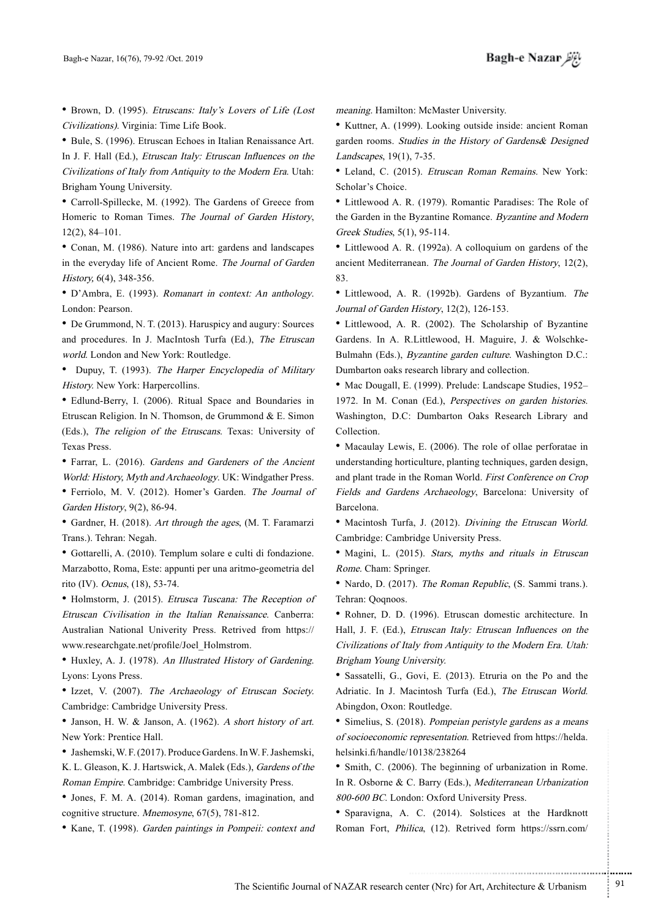• Brown, D. (1995). *Etruscans: Italy's Lovers of Life (Lost*) Civilizations). Virginia: Time Life Book.

• Bule, S. (1996). Etruscan Echoes in Italian Renaissance Art. In J. F. Hall (Ed.), *Etruscan Italy: Etruscan Influences on the* Civilizations of Italy from Antiquity to the Modern Era. Utah: Brigham Young University.

• Carroll-Spillecke, M. (1992). The Gardens of Greece from Homeric to Roman Times. The Journal of Garden History,  $12(2), 84 - 101.$ 

• Conan, M. (1986). Nature into art: gardens and landscapes in the everyday life of Ancient Rome. The Journal of Garden History, 6(4), 348-356.

• D'Ambra, E. (1993). Romanart in context: An anthology. London: Pearson.

• De Grummond, N. T. (2013). Haruspicy and augury: Sources and procedures. In J. MacIntosh Turfa (Ed.), The Etruscan world. London and New York: Routledge.

• Dupuy, T. (1993). The Harper Encyclopedia of Military History. New York: Harpercollins.

• Edlund-Berry, I. (2006). Ritual Space and Boundaries in Etruscan Religion. In N. Thomson, de Grummond  $&E$ . Simon (Eds.), The religion of the Etruscans. Texas: University of Texas Press.

• Farrar, L. (2016). Gardens and Gardeners of the Ancient World: History, Myth and Archaeology. UK: Windgather Press.

• Ferriolo, M. V. (2012). Homer's Garden. The Journal of Garden History, 9(2), 86-94.

• Gardner, H. (2018). Art through the ages, (M. T. Faramarzi Trans.). Tehran: Negah.

• Gottarelli, A. (2010). Templum solare e culti di fondazione. Marzabotto, Roma, Este: appunti per una aritmo-geometria del rito (IV). *Ocnus*,  $(18)$ , 53-74.

• Holmstorm, J. (2015). *Etrusca Tuscana: The Reception of* Etruscan Civilisation in the Italian Renaissance. Canberra: Australian National Univerity Press. Retrived from https:// www.researchgate.net/profile/Joel Holmstrom.

• Huxley, A. J. (1978). An Illustrated History of Gardening. Lyons: Lyons Press.

• Izzet, V. (2007). The Archaeology of Etruscan Society. Cambridge: Cambridge University Press.

• Janson, H. W. & Janson, A. (1962). A short history of art. New York: Prentice Hall.

• Jashemski, W. F. (2017). Produce Gardens. In W. F. Jashemski, K. L. Gleason, K. J. Hartswick, A. Malek (Eds.), Gardens of the Roman Empire. Cambridge: Cambridge University Press.

• Jones, F. M. A. (2014). Roman gardens, imagination, and cognitive structure. Mnemosyne, 67(5), 781-812.

• Kane, T. (1998). Garden paintings in Pompeii: context and

meaning. Hamilton: McMaster University.

• Kuttner, A. (1999). Looking outside inside: ancient Roman garden rooms. Studies in the History of Gardens & Designed Landscapes, 19(1), 7-35.

• Leland, C. (2015). *Etruscan Roman Remains*. New York: Scholar's Choice.

• Littlewood A. R. (1979). Romantic Paradises: The Role of the Garden in the Byzantine Romance. Byzantine and Modern Greek Studies, 5(1), 95-114.

• Littlewood A. R.  $(1992a)$ . A colloquium on gardens of the ancient Mediterranean. The Journal of Garden History, 12(2), 83.

• Littlewood, A. R. (1992b). Gardens of Byzantium. The Journal of Garden History, 12(2), 126-153.

• Littlewood, A. R. (2002). The Scholarship of Byzantine Bulmahn (Eds.), *Byzantine garden culture*. Washington D.C.: Gardens. In A. R.Littlewood, H. Maguire, J. & Wolschke-Dumbarton oaks research library and collection.

• Mac Dougall, E. (1999). Prelude: Landscape Studies, 1952– 1972. In M. Conan (Ed.), Perspectives on garden histories. Washington, D.C: Dumbarton Oaks Research Library and Collection.

• Macaulay Lewis, E. (2006). The role of ollae perforatae in understanding horticulture, planting techniques, garden design, and plant trade in the Roman World. First Conference on Crop Fields and Gardens Archaeology, Barcelona: University of Barcelona.

• Macintosh Turfa, J. (2012). Divining the Etruscan World. Cambridge: Cambridge University Press.

• Magini, L. (2015). Stars, myths and rituals in Etruscan Rome. Cham: Springer.

• Nardo, D. (2017). The Roman Republic, (S. Sammi trans.). Tehran: Qoqnoos.

• Rohner, D. D. (1996). Etruscan domestic architecture. In Hall, J. F. (Ed.), *Etruscan Italy: Etruscan Influences on the* Civilizations of Italy from Antiquity to the Modern Era. Utah: Brigham Young University.

• Sassatelli, G., Govi, E. (2013). Etruria on the Po and the Adriatic. In J. Macintosh Turfa (Ed.), The Etruscan World. Abingdon, Oxon: Routledge.

• Simelius, S. (2018). Pompeian peristyle gardens as a means of socioeconomic representation. Retrieved from https://helda. helsinki.fi/handle/10138/238264

• Smith, C. (2006). The beginning of urbanization in Rome. In R. Osborne & C. Barry (Eds.), Mediterranean Urbanization 800-600 BC. London: Oxford University Press.

• Sparavigna, A. C. (2014). Solstices at the Hardknott Roman Fort, *Philica*, (12). Retrived form https://ssrn.com/

.......... ....... ........ ........... ...... ....... ........ .......... ...........